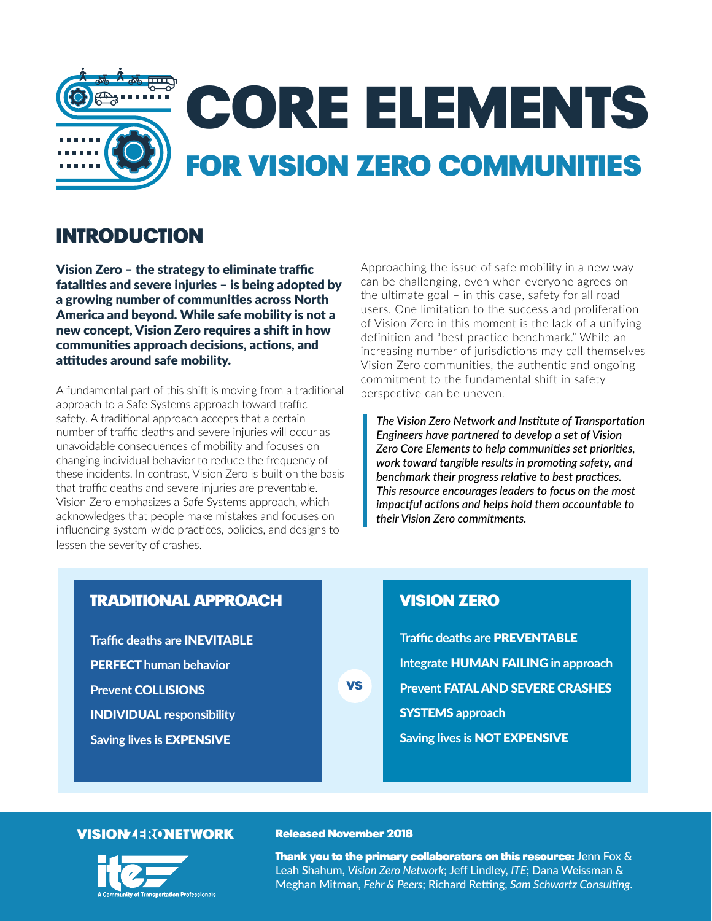

# Introduction

Vision Zero – the strategy to eliminate traffic fatalities and severe injuries – is being adopted by a growing number of communities across North America and beyond. While safe mobility is not a new concept, Vision Zero requires a shift in how communities approach decisions, actions, and attitudes around safe mobility.

A fundamental part of this shift is moving from a traditional approach to a Safe Systems approach toward traffic safety. A traditional approach accepts that a certain number of traffic deaths and severe injuries will occur as unavoidable consequences of mobility and focuses on changing individual behavior to reduce the frequency of these incidents. In contrast, Vision Zero is built on the basis that traffic deaths and severe injuries are preventable. Vision Zero emphasizes a Safe Systems approach, which acknowledges that people make mistakes and focuses on influencing system-wide practices, policies, and designs to lessen the severity of crashes.

Approaching the issue of safe mobility in a new way can be challenging, even when everyone agrees on the ultimate goal – in this case, safety for all road users. One limitation to the success and proliferation of Vision Zero in this moment is the lack of a unifying definition and "best practice benchmark." While an increasing number of jurisdictions may call themselves Vision Zero communities, the authentic and ongoing commitment to the fundamental shift in safety perspective can be uneven.

*The Vision Zero Network and Institute of Transportation Engineers have partnered to develop a set of Vision Zero Core Elements to help communities set priorities, work toward tangible results in promoting safety, and benchmark their progress relative to best practices. This resource encourages leaders to focus on the most impactful actions and helps hold them accountable to their Vision Zero commitments.*

## Traditional Approach

**Traffic deaths are INEVITABLE PERFECT** human behavior **Prevent COLLISIONS** Individual **responsibility Saving lives is EXPENSIVE** 

# Vision Zero

**Traffic deaths are PREVENTABLE Integrate** human failing **in approach Prevent FATAL AND SEVERE CRASHES** Systems **approach Saving lives is** NOT EXPENSIVE

#### **VISION44: TONETWORK**



#### Released November 2018

**VS** 

**Thank you to the primary collaborators on this resource:** Jenn Fox  $\&$ Leah Shahum, *Vision Zero Network*; Jeff Lindley, *ITE*; Dana Weissman & Meghan Mitman, *Fehr & Peers*; Richard Retting, *Sam Schwartz Consulting*.